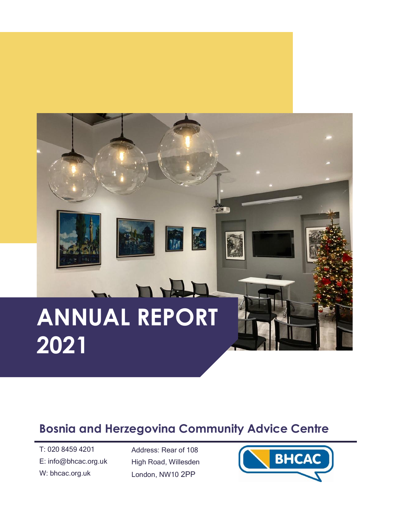# n H **ANNUAL REPORT 2021**

### **Bosnia and Herzegovina Community Advice Centre**

T: 020 8459 4201 E: info@bhcac.org.uk W: bhcac.org.uk

Address: Rear of 108 High Road, Willesden London, NW10 2PP

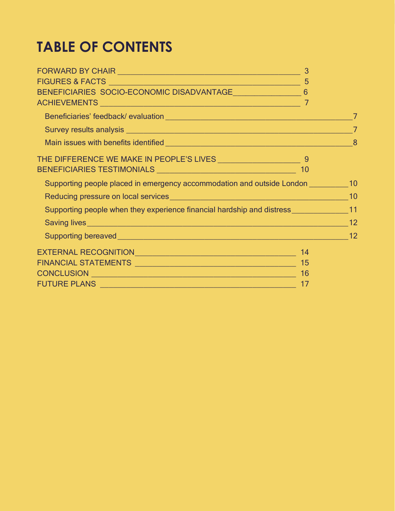## **TABLE OF CONTENTS**

|                                                                                                                | 3 |  |
|----------------------------------------------------------------------------------------------------------------|---|--|
|                                                                                                                |   |  |
| BENEFICIARIES SOCIO-ECONOMIC DISADVANTAGE 6                                                                    |   |  |
|                                                                                                                |   |  |
|                                                                                                                |   |  |
| Survey results analysis entertainment and the state of the state of the state of the state of the state of the |   |  |
|                                                                                                                |   |  |
|                                                                                                                |   |  |
|                                                                                                                |   |  |
| Supporting people placed in emergency accommodation and outside London 10                                      |   |  |
|                                                                                                                |   |  |
| Supporting people when they experience financial hardship and distress ________________11                      |   |  |
|                                                                                                                |   |  |
|                                                                                                                |   |  |
|                                                                                                                |   |  |
|                                                                                                                |   |  |
|                                                                                                                |   |  |
|                                                                                                                |   |  |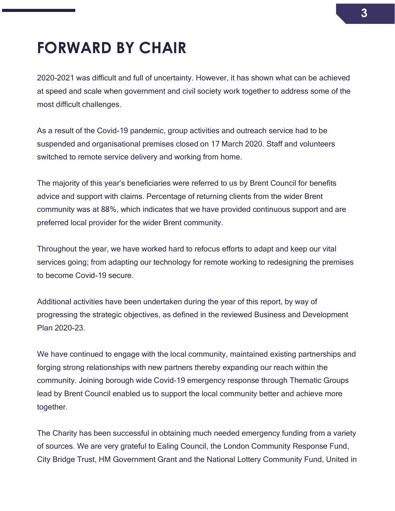## <span id="page-2-0"></span>**FORWARD BY CHAIR**

2020-2021 was difficult and full of uncertainty. However, it has shown what can be achieved at speed and scale when government and civil society work together to address some of the most difficult challenges.

As a result of the Covid-19 pandemic, group activities and outreach service had to be suspended and organisational premises closed on 17 March 2020. Staff and volunteers switched to remote service delivery and working from home.

The majority of this year's beneficiaries were referred to us by Brent Council for benefits advice and support with claims. Percentage of returning clients from the wider Brent community was at 88%, which indicates that we have provided continuous support and are preferred local provider for the wider Brent community.

Throughout the year, we have worked hard to refocus efforts to adapt and keep our vital services going; from adapting our technology for remote working to redesigning the premises to become Covid-19 secure.

Additional activities have been undertaken during the year of this report, by way of progressing the strategic objectives, as defined in the reviewed Business and Development Plan 2020-23.

We have continued to engage with the local community, maintained existing partnerships and forging strong relationships with new partners thereby expanding our reach within the community. Joining borough wide Covid-19 emergency response through Thematic Groups lead by Brent Council enabled us to support the local community better and achieve more together.

The Charity has been successful in obtaining much needed emergency funding from a variety of sources. We are very grateful to Ealing Council, the London Community Response Fund, City Bridge Trust, HM Government Grant and the National Lottery Community Fund, United in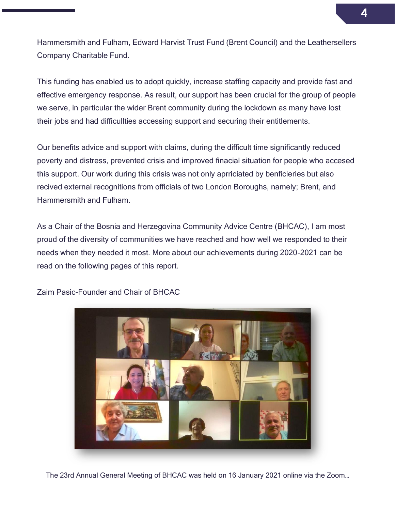Hammersmith and Fulham, Edward Harvist Trust Fund (Brent Council) and the Leathersellers Company Charitable Fund.

This funding has enabled us to adopt quickly, increase staffing capacity and provide fast and effective emergency response. As result, our support has been crucial for the group of people we serve, in particular the wider Brent community during the lockdown as many have lost their jobs and had difficullties accessing support and securing their entitlements.

Our benefits advice and support with claims, during the difficult time significantly reduced poverty and distress, prevented crisis and improved finacial situation for people who accesed this support. Our work during this crisis was not only aprriciated by benficieries but also recived external recognitions from officials of two London Boroughs, namely; Brent, and Hammersmith and Fulham.

As a Chair of the Bosnia and Herzegovina Community Advice Centre (BHCAC), I am most proud of the diversity of communities we have reached and how well we responded to their needs when they needed it most. More about our achievements during 2020-2021 can be read on the following pages of this report.



Zaim Pasic-Founder and Chair of BHCAC

The 23rd Annual General Meeting of BHCAC was held on 16 January 2021 online via the Zoom…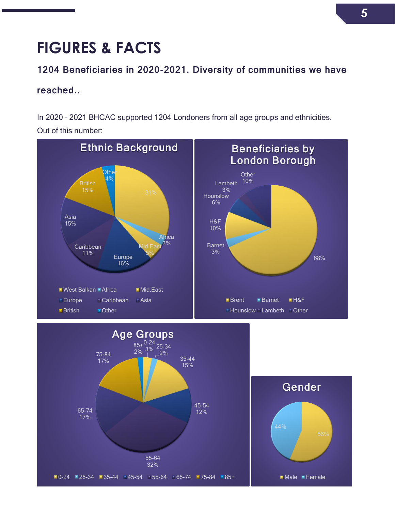## <span id="page-4-0"></span>**FIGURES & FACTS**

#### 1204 Beneficiaries in 2020-2021. Diversity of communities we have

#### reached..

In 2020 – 2021 BHCAC supported 1204 Londoners from all age groups and ethnicities. Out of this number:



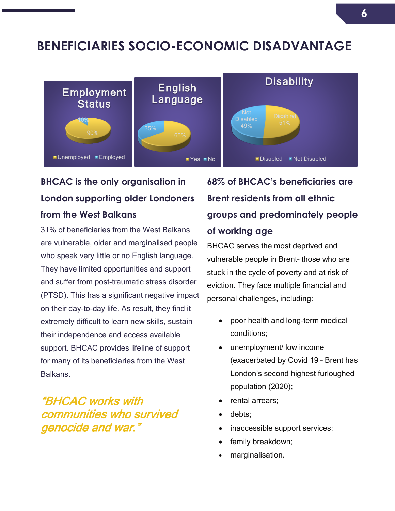### <span id="page-5-0"></span>**BENEFICIARIES SOCIO-ECONOMIC DISADVANTAGE**



### **BHCAC is the only organisation in London supporting older Londoners from the West Balkans**

31% of beneficiaries from the West Balkans are vulnerable, older and marginalised people who speak very little or no English language. They have limited opportunities and support and suffer from post-traumatic stress disorder (PTSD). This has a significant negative impact on their day-to-day life. As result, they find it extremely difficult to learn new skills, sustain their independence and access available support. BHCAC provides lifeline of support for many of its beneficiaries from the West Balkans.

### "BHCAC works with communities who survived genocide and war."

### **68% of BHCAC's beneficiaries are Brent residents from all ethnic groups and predominately people of working age**

BHCAC serves the most deprived and vulnerable people in Brent– those who are stuck in the cycle of poverty and at risk of eviction. They face multiple financial and personal challenges, including:

- poor health and long-term medical conditions;
- unemployment/ low income (exacerbated by Covid 19 – Brent has London's second highest furloughed population (2020);
- rental arrears:
- debts;
- inaccessible support services;
- family breakdown;
- marginalisation.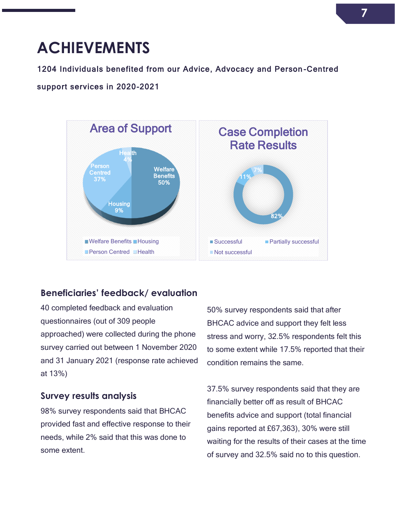## <span id="page-6-0"></span>**ACHIEVEMENTS**

#### 1204 Individuals benefited from our Advice, Advocacy and Person -Centred

#### support services in 2020-2021



#### <span id="page-6-1"></span>**Beneficiaries' feedback/ evaluation**

40 completed feedback and evaluation questionnaires (out of 309 people approached) were collected during the phone survey carried out between 1 November 2020 and 31 January 2021 (response rate achieved at 13%)

#### <span id="page-6-2"></span>**Survey results analysis**

98% survey respondents said that BHCAC provided fast and effective response to their needs, while 2% said that this was done to some extent.

50% survey respondents said that after BHCAC advice and support they felt less stress and worry, 32.5% respondents felt this to some extent while 17.5% reported that their condition remains the same.

37.5% survey respondents said that they are financially better off as result of BHCAC benefits advice and support (total financial gains reported at £67,363), 30% were still waiting for the results of their cases at the time of survey and 32.5% said no to this question.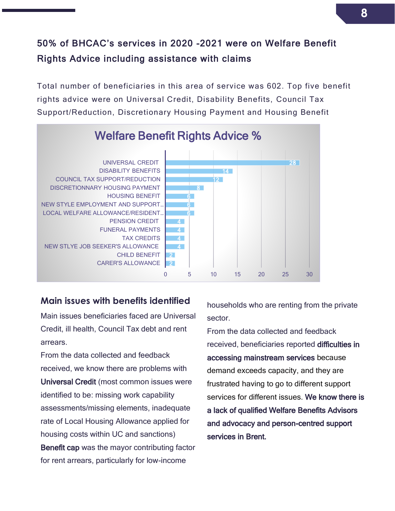### 50% of BHCAC's services in 2020 -2021 were on Welfare Benefit Rights Advice including assistance with claims

Total number of beneficiaries in this area of service was 602. Top five benefit rights advice were on Universal Credit, Disability Benefits, Council Tax Support/Reduction, Discretionary Housing Payment and Housing Benefit



#### <span id="page-7-0"></span>**Main issues with benefits identified**

Main issues beneficiaries faced are Universal Credit, ill health, Council Tax debt and rent arrears.

From the data collected and feedback received, we know there are problems with Universal Credit (most common issues were identified to be: missing work capability assessments/missing elements, inadequate rate of Local Housing Allowance applied for housing costs within UC and sanctions) Benefit cap was the mayor contributing factor for rent arrears, particularly for low-income

households who are renting from the private sector.

From the data collected and feedback received, beneficiaries reported difficulties in accessing mainstream services because demand exceeds capacity, and they are frustrated having to go to different support services for different issues. We know there is a lack of qualified Welfare Benefits Advisors and advocacy and person-centred support services in Brent.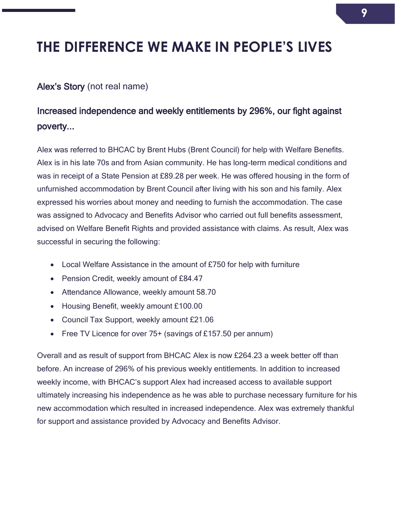### <span id="page-8-0"></span>**THE DIFFERENCE WE MAKE IN PEOPLE'S LIVES**

#### Alex's Story (not real name)

### Increased independence and weekly entitlements by 296%, our fight against poverty...

Alex was referred to BHCAC by Brent Hubs (Brent Council) for help with Welfare Benefits. Alex is in his late 70s and from Asian community. He has long-term medical conditions and was in receipt of a State Pension at £89.28 per week. He was offered housing in the form of unfurnished accommodation by Brent Council after living with his son and his family. Alex expressed his worries about money and needing to furnish the accommodation. The case was assigned to Advocacy and Benefits Advisor who carried out full benefits assessment, advised on Welfare Benefit Rights and provided assistance with claims. As result, Alex was successful in securing the following:

- Local Welfare Assistance in the amount of £750 for help with furniture
- Pension Credit, weekly amount of £84.47
- Attendance Allowance, weekly amount 58.70
- Housing Benefit, weekly amount £100.00
- Council Tax Support, weekly amount £21.06
- Free TV Licence for over 75+ (savings of £157.50 per annum)

Overall and as result of support from BHCAC Alex is now £264.23 a week better off than before. An increase of 296% of his previous weekly entitlements. In addition to increased weekly income, with BHCAC's support Alex had increased access to available support ultimately increasing his independence as he was able to purchase necessary furniture for his new accommodation which resulted in increased independence. Alex was extremely thankful for support and assistance provided by Advocacy and Benefits Advisor.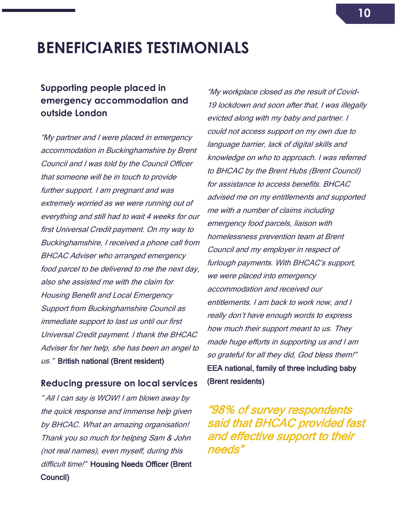## <span id="page-9-0"></span>**BENEFICIARIES TESTIMONIALS**

#### <span id="page-9-1"></span>**Supporting people placed in emergency accommodation and outside London**

"My partner and I were placed in emergency accommodation in Buckinghamshire by Brent Council and I was told by the Council Officer that someone will be in touch to provide further support. I am pregnant and was extremely worried as we were running out of everything and still had to wait 4 weeks for our first Universal Credit payment. On my way to Buckinghamshire, I received a phone call from BHCAC Adviser who arranged emergency food parcel to be delivered to me the next day, also she assisted me with the claim for Housing Benefit and Local Emergency Support from Buckinghamshire Council as immediate support to last us until our first Universal Credit payment. I thank the BHCAC Adviser for her help, she has been an angel to us." British national (Brent resident)

#### <span id="page-9-2"></span>**Reducing pressure on local services**

" All I can say is WOW! I am blown away by the quick response and immense help given by BHCAC. What an amazing organisation! Thank you so much for helping Sam & John (not real names), even myself, during this difficult time!" Housing Needs Officer (Brent Council)

"My workplace closed as the result of Covid-19 lockdown and soon after that, I was illegally evicted along with my baby and partner. I could not access support on my own due to language barrier, lack of digital skills and knowledge on who to approach. I was referred to BHCAC by the Brent Hubs (Brent Council) for assistance to access benefits. BHCAC advised me on my entitlements and supported me with a number of claims including emergency food parcels, liaison with homelessness prevention team at Brent Council and my employer in respect of furlough payments. With BHCAC's support, we were placed into emergency accommodation and received our entitlements. I am back to work now, and I really don't have enough words to express how much their support meant to us. They made huge efforts in supporting us and I am so grateful for all they did, God bless them!" EEA national, family of three including baby (Brent residents)

"98% of survey respondents said that BHCAC provided fast and effective support to their needs"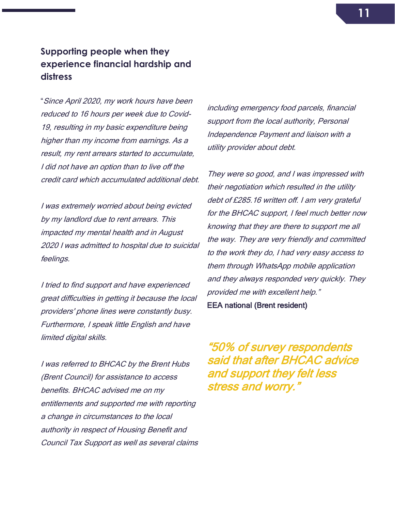#### <span id="page-10-0"></span>**Supporting people when they experience financial hardship and distress**

"Since April 2020, my work hours have been reduced to 16 hours per week due to Covid-19, resulting in my basic expenditure being higher than my income from earnings. As a result, my rent arrears started to accumulate, I did not have an option than to live off the credit card which accumulated additional debt.

I was extremely worried about being evicted by my landlord due to rent arrears. This impacted my mental health and in August 2020 I was admitted to hospital due to suicidal feelings.

I tried to find support and have experienced great difficulties in getting it because the local providers' phone lines were constantly busy. Furthermore, I speak little English and have limited digital skills.

I was referred to BHCAC by the Brent Hubs (Brent Council) for assistance to access benefits. BHCAC advised me on my entitlements and supported me with reporting a change in circumstances to the local authority in respect of Housing Benefit and Council Tax Support as well as several claims including emergency food parcels, financial support from the local authority, Personal Independence Payment and liaison with a utility provider about debt.

They were so good, and I was impressed with their negotiation which resulted in the utility debt of £285.16 written off. I am very grateful for the BHCAC support, I feel much better now knowing that they are there to support me all the way. They are very friendly and committed to the work they do, I had very easy access to them through WhatsApp mobile application and they always responded very quickly. They provided me with excellent help."

EEA national (Brent resident)

"50% of survey respondents said that after BHCAC advice and support they felt less stress and worry."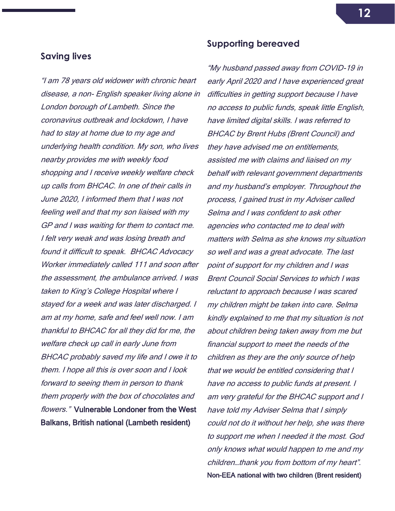#### <span id="page-11-0"></span>**Saving lives**

"I am 78 years old widower with chronic heart disease, a non- English speaker living alone in London borough of Lambeth. Since the coronavirus outbreak and lockdown, I have had to stay at home due to my age and underlying health condition. My son, who lives nearby provides me with weekly food shopping and I receive weekly welfare check up calls from BHCAC. In one of their calls in June 2020, I informed them that I was not feeling well and that my son liaised with my GP and I was waiting for them to contact me. I felt very weak and was losing breath and found it difficult to speak. BHCAC Advocacy Worker immediately called 111 and soon after the assessment, the ambulance arrived. I was taken to King's College Hospital where I stayed for a week and was later discharged. I am at my home, safe and feel well now. I am thankful to BHCAC for all they did for me, the welfare check up call in early June from BHCAC probably saved my life and I owe it to them. I hope all this is over soon and I look forward to seeing them in person to thank them properly with the box of chocolates and flowers." Vulnerable Londoner from the West Balkans, British national (Lambeth resident)

#### **Supporting bereaved**

"My husband passed away from COVID-19 in early April 2020 and I have experienced great difficulties in getting support because I have no access to public funds, speak little English, have limited digital skills. I was referred to BHCAC by Brent Hubs (Brent Council) and they have advised me on entitlements, assisted me with claims and liaised on my behalf with relevant government departments and my husband's employer. Throughout the process, I gained trust in my Adviser called Selma and I was confident to ask other agencies who contacted me to deal with matters with Selma as she knows my situation so well and was a great advocate. The last point of support for my children and I was Brent Council Social Services to which I was reluctant to approach because I was scared my children might be taken into care. Selma kindly explained to me that my situation is not about children being taken away from me but financial support to meet the needs of the children as they are the only source of help that we would be entitled considering that I have no access to public funds at present. I am very grateful for the BHCAC support and I have told my Adviser Selma that I simply could not do it without her help, she was there to support me when I needed it the most. God only knows what would happen to me and my children…thank you from bottom of my heart". Non-EEA national with two children (Brent resident)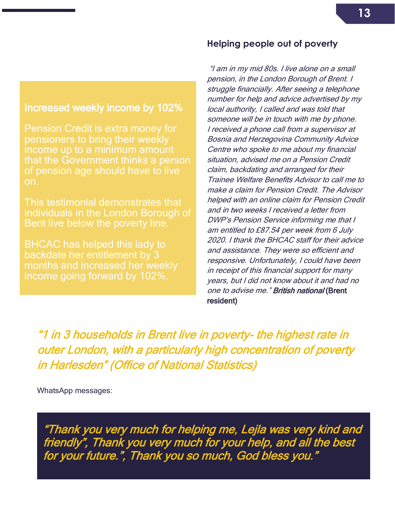#### Increased weekly income by 102%

 of pension age should have to live Pension Credit is extra money for pensioners to bring their weekly income up to a minimum amount that the Government thinks a person on.

This testimonial demonstrates that individuals in the London Borough of Bent live below the poverty line.

BHCAC has helped this lady to backdate her entitlement by 3 months and increased her weekly income going forward by 102%.

#### **Helping people out of poverty**

"I am in my mid 80s. I live alone on a small pension, in the London Borough of Brent. I struggle financially. After seeing a telephone number for help and advice advertised by my local authority, I called and was told that someone will be in touch with me by phone. I received a phone call from a supervisor at Bosnia and Herzegovina Community Advice Centre who spoke to me about my financial situation, advised me on a Pension Credit claim, backdating and arranged for their Trainee Welfare Benefits Advisor to call me to make a claim for Pension Credit. The Advisor helped with an online claim for Pension Credit and in two weeks I received a letter from DWP's Pension Service informing me that I am entitled to £87.54 per week from 6 July 2020. I thank the BHCAC staff for their advice and assistance. They were so efficient and responsive. Unfortunately, I could have been in receipt of this financial support for many years, but I did not know about it and had no one to advise me." British national (Brent resident)

"1 in 3 households in Brent live in poverty- the highest rate in outer London, with a particularly high concentration of poverty in Harlesden" (Office of National Statistics)

WhatsApp messages:

"Thank you very much for helping me, Lejla was very kind and friendly", Thank you very much for your help, and all the best for your future.", Thank you so much, God bless you."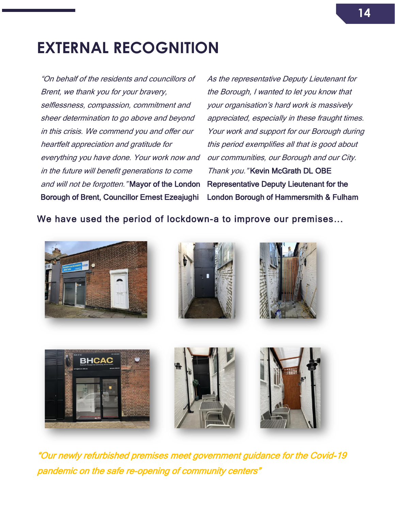## <span id="page-13-0"></span>**EXTERNAL RECOGNITION**

"On behalf of the residents and councillors of Brent, we thank you for your bravery, selflessness, compassion, commitment and sheer determination to go above and beyond in this crisis. We commend you and offer our heartfelt appreciation and gratitude for everything you have done. Your work now and in the future will benefit generations to come and will not be forgotten." Mayor of the London Borough of Brent, Councillor Ernest Ezeajughi

As the representative Deputy Lieutenant for the Borough, I wanted to let you know that your organisation's hard work is massively appreciated, especially in these fraught times. Your work and support for our Borough during this period exemplifies all that is good about our communities, our Borough and our City. Thank you." Kevin McGrath DL OBE Representative Deputy Lieutenant for the London Borough of Hammersmith & Fulham

We have used the period of lockdown-a to improve our premises...









"Our newly refurbished premises meet government guidance for the Covid-19 pandemic on the safe re-opening of community centers"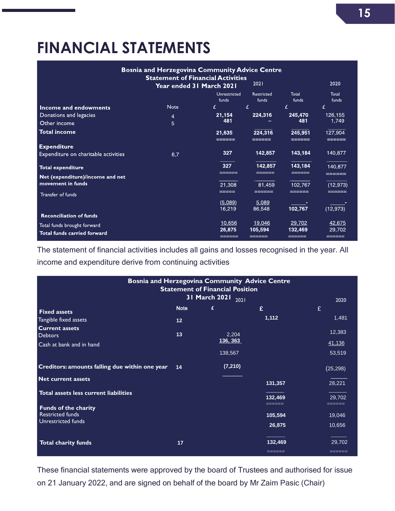## <span id="page-14-0"></span>**FINANCIAL STATEMENTS**

| <b>Bosnia and Herzegovina Community Advice Centre</b> |                                                                              |                       |                     |                   |                  |  |  |  |
|-------------------------------------------------------|------------------------------------------------------------------------------|-----------------------|---------------------|-------------------|------------------|--|--|--|
|                                                       | <b>Statement of Financial Activities</b><br>2021<br>Year ended 31 March 2021 |                       |                     | 2020              |                  |  |  |  |
|                                                       |                                                                              | Unrestricted<br>funds | Restricted<br>funds | Total<br>funds    | Total<br>funds   |  |  |  |
| Income and endowments                                 | <b>Note</b>                                                                  | £                     | £                   | £                 | £                |  |  |  |
| Donations and legacies                                | $\overline{4}$                                                               | 21,154                | 224,316             | 245,470           | 126,155          |  |  |  |
| Other income                                          | 5                                                                            | 481                   |                     | 481               | 1,749            |  |  |  |
| <b>Total income</b>                                   |                                                                              | 21,635                | 224,316             | 245,951           | 127,904          |  |  |  |
| <b>Expenditure</b>                                    |                                                                              |                       |                     |                   |                  |  |  |  |
| Expenditure on charitable activities                  | 6,7                                                                          | 327                   | 142,857             | 143,184           | 140,877          |  |  |  |
| <b>Total expenditure</b>                              |                                                                              | 327                   | 142,857             | 143,184           | 140,877          |  |  |  |
| Net (expenditure)/income and net                      |                                                                              |                       |                     |                   |                  |  |  |  |
| movement in funds                                     |                                                                              | 21,308                | 81.459              | 102,767           | (12, 973)        |  |  |  |
| Transfer of funds                                     |                                                                              |                       |                     |                   |                  |  |  |  |
|                                                       |                                                                              | (5.089)               | 5,089               |                   |                  |  |  |  |
|                                                       |                                                                              | 16,219                | 86,548              | 102,767           | (12, 973)        |  |  |  |
| <b>Reconciliation of funds</b>                        |                                                                              |                       |                     |                   |                  |  |  |  |
| Total funds brought forward                           |                                                                              | 10,656                | 19,046              | 29,702            | 42,675           |  |  |  |
| Total funds carried forward                           |                                                                              | 26,875<br>======      | 105,594             | 132,469<br>______ | 29,702<br>______ |  |  |  |

The statement of financial activities includes all gains and losses recognised in the year. All income and expenditure derive from continuing activities

| <b>Bosnia and Herzegovina Community Advice Centre</b><br><b>Statement of Financial Position</b><br>31 March 2021<br>2021<br>2020 |                 |                 |         |           |  |  |  |  |
|----------------------------------------------------------------------------------------------------------------------------------|-----------------|-----------------|---------|-----------|--|--|--|--|
| <b>Fixed assets</b>                                                                                                              | <b>Note</b>     | £               | £       | £         |  |  |  |  |
| Tangible fixed assets                                                                                                            | 12 <sub>2</sub> |                 | 1,112   | 1,481     |  |  |  |  |
| <b>Current assets</b><br><b>Debtors</b>                                                                                          | 13              | 2,204           |         | 12,383    |  |  |  |  |
| Cash at bank and in hand                                                                                                         |                 | <u>136, 363</u> |         | 41,136    |  |  |  |  |
|                                                                                                                                  |                 | 138,567         |         | 53,519    |  |  |  |  |
| Creditors: amounts falling due within one year                                                                                   | 14              | (7, 210)        |         | (25, 298) |  |  |  |  |
| <b>Net current assets</b>                                                                                                        |                 |                 | 131,357 | 28,221    |  |  |  |  |
| Total assets less current liabilities                                                                                            |                 |                 | 132,469 | 29,702    |  |  |  |  |
| <b>Funds of the charity</b><br><b>Restricted funds</b>                                                                           |                 |                 | ======  |           |  |  |  |  |
| Unrestricted funds                                                                                                               |                 |                 | 105,594 | 19,046    |  |  |  |  |
|                                                                                                                                  |                 |                 | 26,875  | 10,656    |  |  |  |  |
| <b>Total charity funds</b>                                                                                                       | 17              |                 | 132,469 | 29,702    |  |  |  |  |
|                                                                                                                                  |                 |                 |         |           |  |  |  |  |

These financial statements were approved by the board of Trustees and authorised for issue on 21 January 2022, and are signed on behalf of the board by Mr Zaim Pasic (Chair)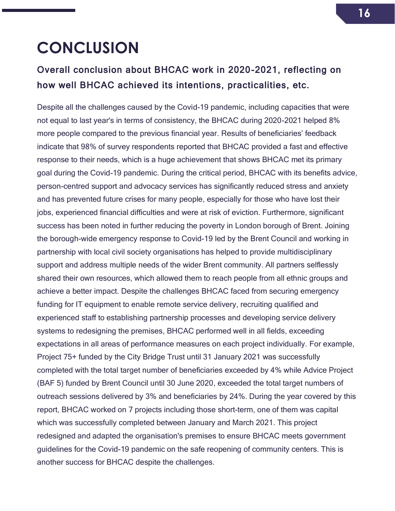## <span id="page-15-0"></span>**CONCLUSION**

### Overall conclusion about BHCAC work in 2020-2021, reflecting on how well BHCAC achieved its intentions, practicalities, etc.

Despite all the challenges caused by the Covid-19 pandemic, including capacities that were not equal to last year's in terms of consistency, the BHCAC during 2020-2021 helped 8% more people compared to the previous financial year. Results of beneficiaries' feedback indicate that 98% of survey respondents reported that BHCAC provided a fast and effective response to their needs, which is a huge achievement that shows BHCAC met its primary goal during the Covid-19 pandemic. During the critical period, BHCAC with its benefits advice, person-centred support and advocacy services has significantly reduced stress and anxiety and has prevented future crises for many people, especially for those who have lost their jobs, experienced financial difficulties and were at risk of eviction. Furthermore, significant success has been noted in further reducing the poverty in London borough of Brent. Joining the borough-wide emergency response to Covid-19 led by the Brent Council and working in partnership with local civil society organisations has helped to provide multidisciplinary support and address multiple needs of the wider Brent community. All partners selflessly shared their own resources, which allowed them to reach people from all ethnic groups and achieve a better impact. Despite the challenges BHCAC faced from securing emergency funding for IT equipment to enable remote service delivery, recruiting qualified and experienced staff to establishing partnership processes and developing service delivery systems to redesigning the premises, BHCAC performed well in all fields, exceeding expectations in all areas of performance measures on each project individually. For example, Project 75+ funded by the City Bridge Trust until 31 January 2021 was successfully completed with the total target number of beneficiaries exceeded by 4% while Advice Project (BAF 5) funded by Brent Council until 30 June 2020, exceeded the total target numbers of outreach sessions delivered by 3% and beneficiaries by 24%. During the year covered by this report, BHCAC worked on 7 projects including those short-term, one of them was capital which was successfully completed between January and March 2021. This project redesigned and adapted the organisation's premises to ensure BHCAC meets government guidelines for the Covid-19 pandemic on the safe reopening of community centers. This is another success for BHCAC despite the challenges.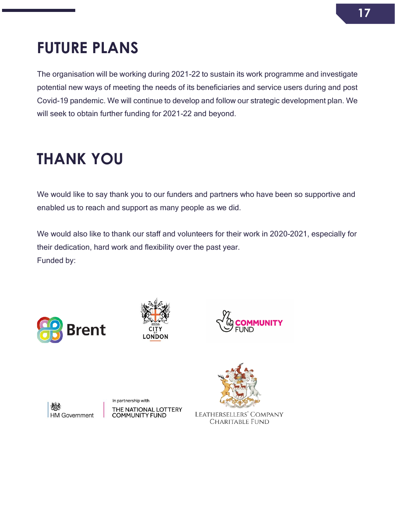### **17**

## <span id="page-16-0"></span>**FUTURE PLANS**

The organisation will be working during 2021-22 to sustain its work programme and investigate potential new ways of meeting the needs of its beneficiaries and service users during and post Covid-19 pandemic. We will continue to develop and follow our strategic development plan. We will seek to obtain further funding for 2021-22 and beyond.

## **THANK YOU**

We would like to say thank you to our funders and partners who have been so supportive and enabled us to reach and support as many people as we did.

We would also like to thank our staff and volunteers for their work in 2020-2021, especially for their dedication, hard work and flexibility over the past year. Funded by:









In partnership with THE NATIONAL LOTTERY<br>COMMUNITY FUND



LEATHERSELLERS' COMPANY **CHARITABLE FUND**